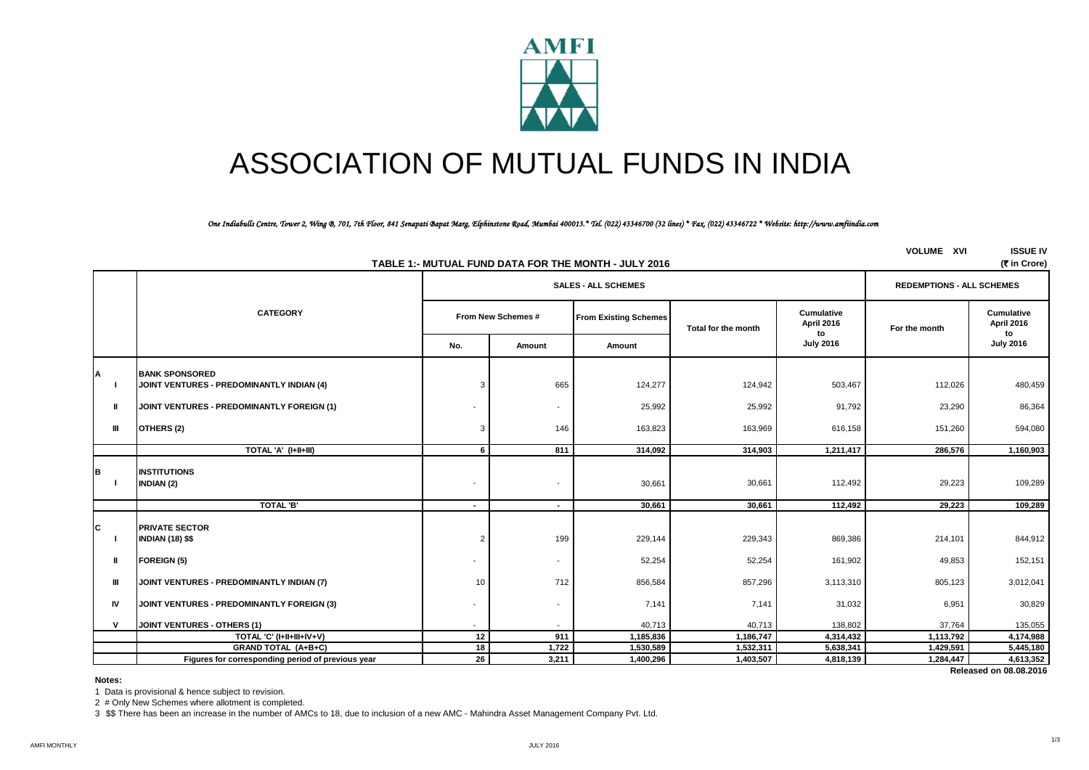

# ASSOCIATION OF MUTUAL FUNDS IN INDIA

#### *One Indiabulls Centre, Tower 2, Wing B, 701, 7th Floor, 841 Senapati Bapat Marg, Elphinstone Road, Mumbai 400013.\* Tel. (022) 43346700 (32 lines) \* Fax. (022) 43346722 \* Website: http://www.amfiindia.com*

|              | (そ in Crore)<br>TABLE 1:- MUTUAL FUND DATA FOR THE MONTH - JULY 2016 |                          |                                                    |                                  |                     |                          |               |                                |  |  |
|--------------|----------------------------------------------------------------------|--------------------------|----------------------------------------------------|----------------------------------|---------------------|--------------------------|---------------|--------------------------------|--|--|
|              |                                                                      |                          | <b>SALES - ALL SCHEMES</b>                         | <b>REDEMPTIONS - ALL SCHEMES</b> |                     |                          |               |                                |  |  |
|              | <b>CATEGORY</b>                                                      |                          | From New Schemes #<br><b>From Existing Schemes</b> |                                  | Total for the month | Cumulative<br>April 2016 | For the month | Cumulative<br>April 2016<br>to |  |  |
|              |                                                                      | No.                      | Amount                                             | Amount                           |                     | to<br><b>July 2016</b>   |               | <b>July 2016</b>               |  |  |
|              | <b>BANK SPONSORED</b>                                                |                          |                                                    |                                  |                     |                          |               |                                |  |  |
| A            | JOINT VENTURES - PREDOMINANTLY INDIAN (4)                            | 3                        | 665                                                | 124,277                          | 124,942             | 503,467                  | 112,026       | 480,459                        |  |  |
|              | JOINT VENTURES - PREDOMINANTLY FOREIGN (1)                           |                          | $\overline{\phantom{a}}$                           | 25,992                           | 25,992              | 91,792                   | 23,290        | 86,364                         |  |  |
| Ш            | OTHERS (2)                                                           | 3                        | 146                                                | 163,823                          | 163,969             | 616,158                  | 151,260       | 594,080                        |  |  |
|              | TOTAL 'A' (I+II+III)                                                 | 6                        | 811                                                | 314.092                          | 314,903             | 1,211,417                | 286,576       | 1,160,903                      |  |  |
| B            | <b>INSTITUTIONS</b><br><b>INDIAN (2)</b>                             | $\overline{\phantom{a}}$ | $\overline{\phantom{a}}$                           | 30,661                           | 30,661              | 112,492                  | 29,223        | 109,289                        |  |  |
|              | TOTAL 'B'                                                            | $\blacksquare$           | $\blacksquare$                                     | 30,661                           | 30,661              | 112,492                  | 29,223        | 109,289                        |  |  |
| IС           | <b>PRIVATE SECTOR</b><br><b>INDIAN (18) \$\$</b>                     | $\overline{2}$           | 199                                                | 229,144                          | 229,343             | 869,386                  | 214,101       | 844,912                        |  |  |
| Ш            | <b>FOREIGN (5)</b>                                                   |                          | $\overline{\phantom{a}}$                           | 52,254                           | 52,254              | 161,902                  | 49,853        | 152,151                        |  |  |
| Ш            | JOINT VENTURES - PREDOMINANTLY INDIAN (7)                            | 10                       | 712                                                | 856,584                          | 857,296             | 3,113,310                | 805,123       | 3,012,041                      |  |  |
| <b>IV</b>    | JOINT VENTURES - PREDOMINANTLY FOREIGN (3)                           | $\overline{\phantom{a}}$ | $\overline{\phantom{a}}$                           | 7,141                            | 7,141               | 31,032                   | 6,951         | 30,829                         |  |  |
| $\mathsf{v}$ | <b>JOINT VENTURES - OTHERS (1)</b>                                   |                          |                                                    | 40,713                           | 40,713              | 138,802                  | 37,764        | 135,055                        |  |  |
|              | TOTAL 'C' (I+II+III+IV+V)                                            | 12                       | 911                                                | 1,185,836                        | 1,186,747           | 4,314,432                | 1,113,792     | 4,174,988                      |  |  |
|              | <b>GRAND TOTAL (A+B+C)</b>                                           | 18                       | 1,722                                              | 1,530,589                        | 1,532,311           | 5,638,341                | 1,429,591     | 5,445,180                      |  |  |
|              | Figures for corresponding period of previous year                    | 26                       | 3,211                                              | 1,400,296                        | 1,403,507           | 4,818,139                | 1,284,447     | 4,613,352                      |  |  |
|              |                                                                      |                          |                                                    |                                  |                     |                          |               | Released on 08.08.2016         |  |  |

#### **Notes:**

1 Data is provisional & hence subject to revision.

2 # Only New Schemes where allotment is completed.

3 \$\$ There has been an increase in the number of AMCs to 18, due to inclusion of a new AMC - Mahindra Asset Management Company Pvt. Ltd.

**VOLUME XVI ISSUE IV**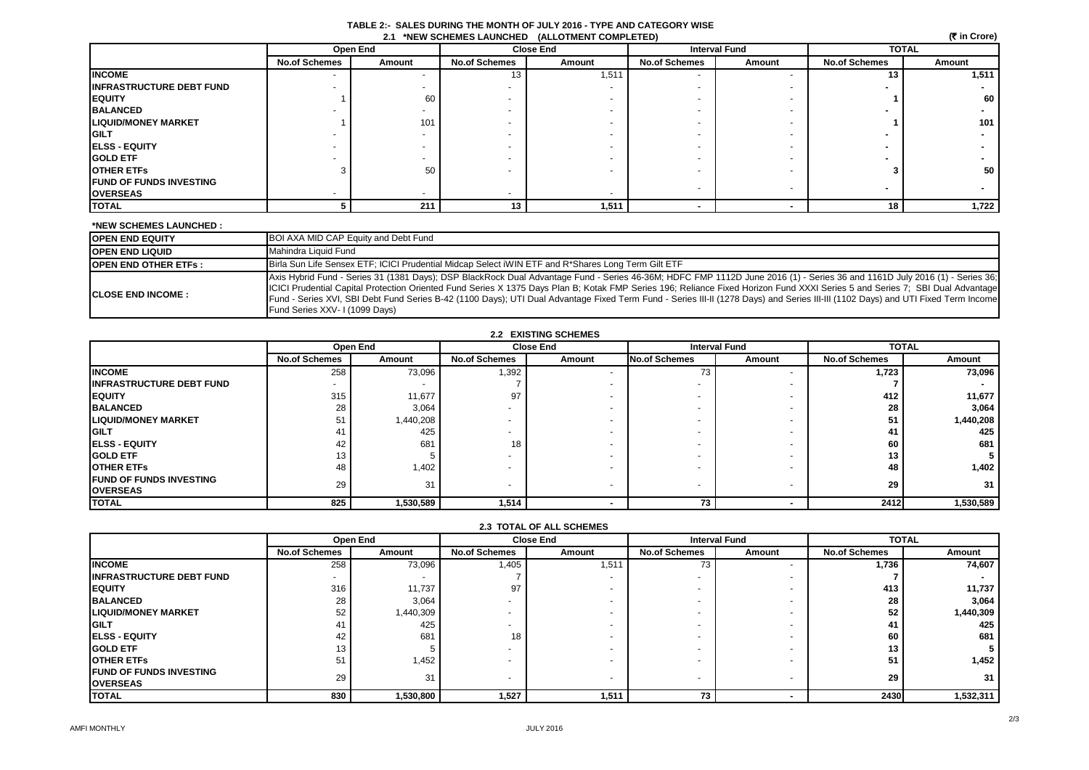| TABLE 2:- SALES DURING THE MONTH OF JULY 2016 - TYPE AND CATEGORY WISE |  |
|------------------------------------------------------------------------|--|
| 21 *NEW SCHEMES LAUNCHED (ALLOTMENT COMPLETED)                         |  |

| (₹ in Crore)<br>2.1 *NEW SCHEMES LAUNCHED (ALLOTMENT COMPLETED) |                      |                          |                          |                  |                          |        |                      |        |
|-----------------------------------------------------------------|----------------------|--------------------------|--------------------------|------------------|--------------------------|--------|----------------------|--------|
|                                                                 |                      | Open End                 |                          | <b>Close End</b> | <b>Interval Fund</b>     |        | <b>TOTAL</b>         |        |
|                                                                 | <b>No.of Schemes</b> | Amount                   | <b>No.of Schemes</b>     | Amount           | <b>No.of Schemes</b>     | Amount | <b>No.of Schemes</b> | Amount |
| <b>INCOME</b>                                                   |                      |                          | 13                       | 1,511            |                          |        | 13                   | 1,511  |
| <b>INFRASTRUCTURE DEBT FUND</b>                                 |                      |                          |                          |                  |                          |        |                      |        |
| <b>EQUITY</b>                                                   |                      | 60                       |                          |                  |                          |        |                      | 60     |
| <b>BALANCED</b>                                                 |                      | $\overline{\phantom{0}}$ |                          |                  |                          |        |                      |        |
| <b>LIQUID/MONEY MARKET</b>                                      |                      | 101                      |                          |                  |                          |        |                      | 101    |
| <b>GILT</b>                                                     |                      |                          |                          |                  |                          |        |                      |        |
| <b>ELSS - EQUITY</b>                                            |                      |                          |                          |                  |                          |        |                      |        |
| <b>GOLD ETF</b>                                                 |                      |                          | $\overline{a}$           |                  |                          |        |                      |        |
| <b>OTHER ETFS</b>                                               |                      | 50                       | $\overline{\phantom{0}}$ |                  |                          |        |                      | 50     |
| <b>FUND OF FUNDS INVESTING</b>                                  |                      |                          |                          |                  |                          |        |                      |        |
| <b>OVERSEAS</b>                                                 |                      |                          |                          |                  |                          |        |                      |        |
| <b>TOTAL</b>                                                    |                      | 211                      | 13                       | 1,511            | $\overline{\phantom{a}}$ |        | 18                   | 1,722  |

### **\*NEW SCHEMES LAUNCHED :**

| <b>OPEN END EQUITY</b>      | BOI AXA MID CAP Equity and Debt Fund                                                                                                                                                                                                                                                                                                                                                                                                                                                                                                                                                                                   |
|-----------------------------|------------------------------------------------------------------------------------------------------------------------------------------------------------------------------------------------------------------------------------------------------------------------------------------------------------------------------------------------------------------------------------------------------------------------------------------------------------------------------------------------------------------------------------------------------------------------------------------------------------------------|
| <b>OPEN END LIQUID</b>      | Mahindra Liquid Fund                                                                                                                                                                                                                                                                                                                                                                                                                                                                                                                                                                                                   |
| <b>OPEN END OTHER ETFS:</b> | Birla Sun Life Sensex ETF; ICICI Prudential Midcap Select iWIN ETF and R*Shares Long Term Gilt ETF                                                                                                                                                                                                                                                                                                                                                                                                                                                                                                                     |
| <b>ICLOSE END INCOME :</b>  | Axis Hybrid Fund - Series 31 (1381 Days); DSP BlackRock Dual Advantage Fund - Series 46-36M; HDFC FMP 1112D June 2016 (1) - Series 36 and 1161D July 2016 (1) - Series 36; and 1161D July 2016 (1) - Series 36;<br>ICICI Prudential Capital Protection Oriented Fund Series X 1375 Days Plan B; Kotak FMP Series 196; Reliance Fixed Horizon Fund XXXI Series 5 and Series 7; SBI Dual Advantage<br>Fund - Series XVI, SBI Debt Fund Series B-42 (1100 Days); UTI Dual Advantage Fixed Term Fund - Series III-II (1278 Days) and Series III-III (1102 Days) and UTI Fixed Term Income<br>Fund Series XXV-1 (1099 Days) |

| <b>2.2 EXISTING SCHEMES</b>      |                          |           |                          |        |                      |        |                      |           |
|----------------------------------|--------------------------|-----------|--------------------------|--------|----------------------|--------|----------------------|-----------|
|                                  |                          | Open End  | <b>Close End</b>         |        | <b>Interval Fund</b> |        | <b>TOTAL</b>         |           |
|                                  | <b>No.of Schemes</b>     | Amount    | <b>No.of Schemes</b>     | Amount | <b>No.of Schemes</b> | Amount | <b>No.of Schemes</b> | Amount    |
| <b>INCOME</b>                    | 258                      | 73,096    | 1,392                    |        | 73                   |        | 1,723                | 73,096    |
| <b>IINFRASTRUCTURE DEBT FUND</b> | $\overline{\phantom{0}}$ |           |                          |        |                      |        |                      |           |
| <b>IEQUITY</b>                   | 315                      | 11,677    | 97                       |        |                      |        | 412                  | 11,677    |
| <b>BALANCED</b>                  | 28                       | 3,064     | $\overline{\phantom{0}}$ |        | -                    |        | 28                   | 3,064     |
| <b>LIQUID/MONEY MARKET</b>       | 5 <sup>1</sup>           | 1,440,208 |                          |        | ۰                    |        | 51                   | 1,440,208 |
| <b>GILT</b>                      | 4.                       | 425       |                          |        |                      |        | 41                   | 425       |
| <b>IELSS - EQUITY</b>            | 42                       | 681       | 18                       |        |                      |        | 60                   | 681       |
| <b>GOLD ETF</b>                  | 13                       |           | $\overline{\phantom{0}}$ |        | -                    |        | 13                   |           |
| <b>OTHER ETFS</b>                | 48                       | 1,402     | $\overline{\phantom{0}}$ |        | -                    |        | 48                   | 1,402     |
| <b>FUND OF FUNDS INVESTING</b>   | 29                       | 31        | $\overline{\phantom{0}}$ |        | -                    |        | 29                   | 31        |
| <b>OVERSEAS</b>                  |                          |           |                          |        |                      |        |                      |           |
| <b>TOTAL</b>                     | 825                      | 1,530,589 | 1,514                    |        | 73                   |        | 2412                 | 1,530,589 |

| <b>2.3 TOTAL OF ALL SCHEMES</b> |  |
|---------------------------------|--|
|                                 |  |

|                                  | Open End             |           | <b>Close End</b>     |        | <b>Interval Fund</b> |                          | <b>TOTAL</b>         |           |
|----------------------------------|----------------------|-----------|----------------------|--------|----------------------|--------------------------|----------------------|-----------|
|                                  | <b>No.of Schemes</b> | Amount    | <b>No.of Schemes</b> | Amount | <b>No.of Schemes</b> | Amount                   | <b>No.of Schemes</b> | Amount    |
| <b>INCOME</b>                    | 258                  | 73,096    | 1,405                | 1,511  | 73                   |                          | 1,736                | 74,607    |
| <b>IINFRASTRUCTURE DEBT FUND</b> |                      |           |                      |        |                      |                          |                      |           |
| <b>EQUITY</b>                    | 316                  | 11,737    | 97                   |        |                      | $\overline{\phantom{0}}$ | 413                  | 11,737    |
| <b>BALANCED</b>                  | 28                   | 3,064     |                      |        |                      |                          | 28                   | 3,064     |
| <b>LIQUID/MONEY MARKET</b>       | 52                   | 1,440,309 |                      |        |                      | $\overline{\phantom{0}}$ | 52                   | 1,440,309 |
| <b>GILT</b>                      | 41                   | 425       |                      |        |                      | -                        | 41                   | 425       |
| <b>IELSS - EQUITY</b>            | 42                   | 681       | 18                   |        |                      | $\overline{\phantom{a}}$ | 60                   | 681       |
| <b>GOLD ETF</b>                  | 13                   |           |                      |        |                      |                          | 13                   |           |
| <b>OTHER ETFS</b>                | 51                   | 1,452     |                      |        |                      | $\overline{\phantom{a}}$ | 51                   | 1,452     |
| <b>FUND OF FUNDS INVESTING</b>   | 29                   | 31        | $\sim$               |        |                      | $\overline{\phantom{a}}$ | 29                   | 31        |
| <b>OVERSEAS</b>                  |                      |           |                      |        |                      |                          |                      |           |
| <b>TOTAL</b>                     | 830                  | 1,530,800 | 1,527                | 1,511  | 73                   |                          | 2430                 | 1,532,311 |